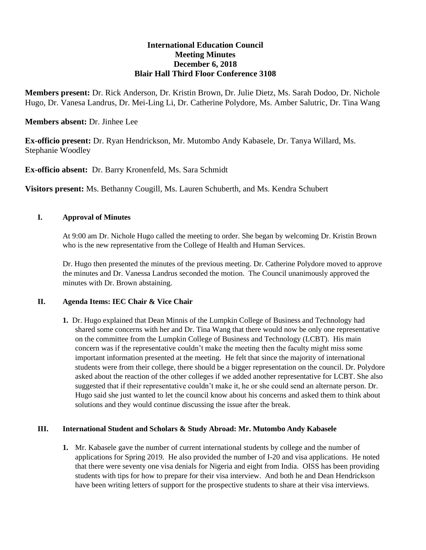# **International Education Council Meeting Minutes December 6, 2018 Blair Hall Third Floor Conference 3108**

**Members present:** Dr. Rick Anderson, Dr. Kristin Brown, Dr. Julie Dietz, Ms. Sarah Dodoo, Dr. Nichole Hugo, Dr. Vanesa Landrus, Dr. Mei-Ling Li, Dr. Catherine Polydore, Ms. Amber Salutric, Dr. Tina Wang

### **Members absent:** Dr. Jinhee Lee

**Ex-officio present:** Dr. Ryan Hendrickson, Mr. Mutombo Andy Kabasele, Dr. Tanya Willard, Ms. Stephanie Woodley

**Ex-officio absent:** Dr. Barry Kronenfeld, Ms. Sara Schmidt

**Visitors present:** Ms. Bethanny Cougill, Ms. Lauren Schuberth, and Ms. Kendra Schubert

### **I. Approval of Minutes**

At 9:00 am Dr. Nichole Hugo called the meeting to order. She began by welcoming Dr. Kristin Brown who is the new representative from the College of Health and Human Services.

Dr. Hugo then presented the minutes of the previous meeting. Dr. Catherine Polydore moved to approve the minutes and Dr. Vanessa Landrus seconded the motion. The Council unanimously approved the minutes with Dr. Brown abstaining.

#### **II. Agenda Items: IEC Chair & Vice Chair**

**1.** Dr. Hugo explained that Dean Minnis of the Lumpkin College of Business and Technology had shared some concerns with her and Dr. Tina Wang that there would now be only one representative on the committee from the Lumpkin College of Business and Technology (LCBT). His main concern was if the representative couldn't make the meeting then the faculty might miss some important information presented at the meeting. He felt that since the majority of international students were from their college, there should be a bigger representation on the council. Dr. Polydore asked about the reaction of the other colleges if we added another representative for LCBT. She also suggested that if their representative couldn't make it, he or she could send an alternate person. Dr. Hugo said she just wanted to let the council know about his concerns and asked them to think about solutions and they would continue discussing the issue after the break.

### **III. International Student and Scholars & Study Abroad: Mr. Mutombo Andy Kabasele**

**1.** Mr. Kabasele gave the number of current international students by college and the number of applications for Spring 2019. He also provided the number of I-20 and visa applications. He noted that there were seventy one visa denials for Nigeria and eight from India. OISS has been providing students with tips for how to prepare for their visa interview. And both he and Dean Hendrickson have been writing letters of support for the prospective students to share at their visa interviews.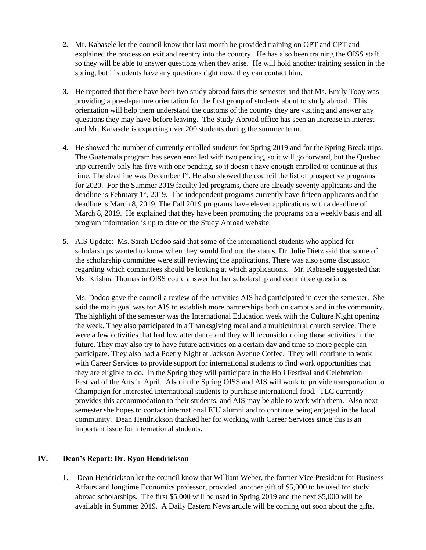- **2.** Mr. Kabasele let the council know that last month he provided training on OPT and CPT and explained the process on exit and reentry into the country. He has also been training the OISS staff so they will be able to answer questions when they arise. He will hold another training session in the spring, but if students have any questions right now, they can contact him.
- **3.** He reported that there have been two study abroad fairs this semester and that Ms. Emily Tooy was providing a pre-departure orientation for the first group of students about to study abroad. This orientation will help them understand the customs of the country they are visiting and answer any questions they may have before leaving. The Study Abroad office has seen an increase in interest and Mr. Kabasele is expecting over 200 students during the summer term.
- **4.** He showed the number of currently enrolled students for Spring 2019 and for the Spring Break trips. The Guatemala program has seven enrolled with two pending, so it will go forward, but the Quebec trip currently only has five with one pending, so it doesn't have enough enrolled to continue at this time. The deadline was December  $1<sup>st</sup>$ . He also showed the council the list of prospective programs for 2020. For the Summer 2019 faculty led programs, there are already seventy applicants and the deadline is February 1<sup>st</sup>, 2019. The independent programs currently have fifteen applicants and the deadline is March 8, 2019. The Fall 2019 programs have eleven applications with a deadline of March 8, 2019. He explained that they have been promoting the programs on a weekly basis and all program information is up to date on the Study Abroad website.
- **5.** AIS Update: Ms. Sarah Dodoo said that some of the international students who applied for scholarships wanted to know when they would find out the status. Dr. Julie Dietz said that some of the scholarship committee were still reviewing the applications. There was also some discussion regarding which committees should be looking at which applications. Mr. Kabasele suggested that Ms. Krishna Thomas in OISS could answer further scholarship and committee questions.

Ms. Dodoo gave the council a review of the activities AIS had participated in over the semester. She said the main goal was for AIS to establish more partnerships both on campus and in the community. The highlight of the semester was the International Education week with the Culture Night opening the week. They also participated in a Thanksgiving meal and a multicultural church service. There were a few activities that had low attendance and they will reconsider doing those activities in the future. They may also try to have future activities on a certain day and time so more people can participate. They also had a Poetry Night at Jackson Avenue Coffee. They will continue to work with Career Services to provide support for international students to find work opportunities that they are eligible to do. In the Spring they will participate in the Holi Festival and Celebration Festival of the Arts in April. Also in the Spring OISS and AIS will work to provide transportation to Champaign for interested international students to purchase international food. TLC currently provides this accommodation to their students, and AIS may be able to work with them. Also next semester she hopes to contact international EIU alumni and to continue being engaged in the local community. Dean Hendrickson thanked her for working with Career Services since this is an important issue for international students.

## **IV. Dean's Report: Dr. Ryan Hendrickson**

1. Dean Hendrickson let the council know that William Weber, the former Vice President for Business Affairs and longtime Economics professor, provided another gift of \$5,000 to be used for study abroad scholarships. The first \$5,000 will be used in Spring 2019 and the next \$5,000 will be available in Summer 2019. A Daily Eastern News article will be coming out soon about the gifts.